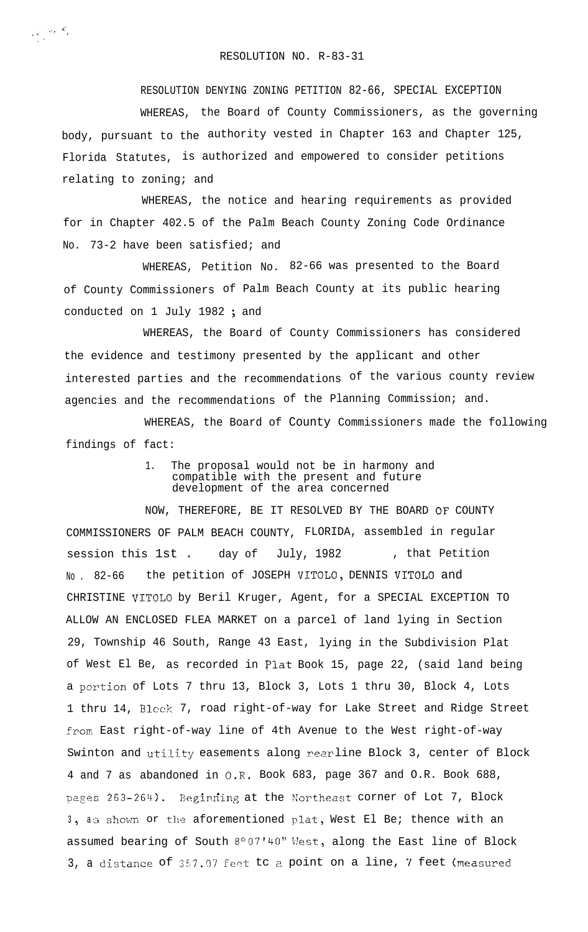RESOLUTION NO. R-83-31

 $\sum_{\substack{ \mathbf{y} \in \mathcal{Y}(\mathcal{Y}) \\ \mathbf{y} \in \mathcal{X}(\mathcal{Y})}} \mathcal{P}_{\mathbf{y}}(\mathbf{y}) \mathbf{y} \in \mathcal{X}_{\mathbf{y}}$ 

RESOLUTION DENYING ZONING PETITION 82-66, SPECIAL EXCEPTION WHEREAS, the Board of County Commissioners, as the governing body, pursuant to the authority vested in Chapter 163 and Chapter 125, Florida Statutes, is authorized and empowered to consider petitions relating to zoning; and

WHEREAS, the notice and hearing requirements as provided for in Chapter 402.5 of the Palm Beach County Zoning Code Ordinance No. 73-2 have been satisfied; and

WHEREAS, Petition No. 82-66 was presented to the Board of County Commissioners of Palm Beach County at its public hearing conducted on 1 July 1982 ; and

WHEREAS, the Board of County Commissioners has considered the evidence and testimony presented by the applicant and other interested parties and the recommendations of the various county review agencies and the recommendations of the Planning Commission; and.

WHEREAS, the Board of County Commissioners made the following findings of fact:

> 1. The proposal would not be in harmony and compatible with the present and future development of the area concerned

NOW, THEREFORE, BE IT RESOLVED BY THE BOARD OF COUNTY COMMISSIONERS OF PALM BEACH COUNTY, FLORIDA, assembled in regular session this 1st. day of July, 1982 , that Petition No . 82-66 the petition of JOSEPH VITOLO, DENNIS VITOLO and CHRISTINE VITOLO by Beril Kruger, Agent, for a SPECIAL EXCEPTION TO ALLOW AN ENCLOSED FLEA MARKET on a parcel of land lying in Section 29, Township 46 South, Range 43 East, lying in the Subdivision Plat of West El Be, as recorded in Plat Book 15, page 22, (said land being a pcrtion of Lots 7 thru 13, Block 3, Lots 1 thru 30, Block 4, Lots 1 thru 14, Block 7, road right-of-way for Lake Street and Ridge Street from East right-of-way line of 4th Avenue to the West right-of-way Swinton and utility easements along rearline Block 3, center of Block 4 and 7 as abandoned in 0-R. Book 683, page 367 and O.R. Book 688, pages 263-264). Beginning at the Northeast corner of Lot 7, Block 3, as shown or the aforementioned plat, West El Be; thence with an assumed bearing of South 8°07'40" West, along the East line of Block 3, a distance of  $357.07$  feet tc a point on a line,  $7$  feet (measured